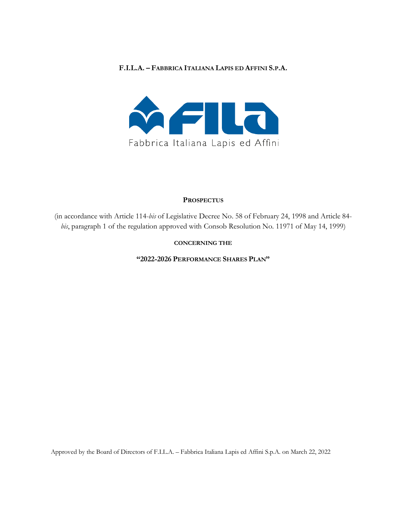#### **F.I.L.A. – FABBRICA ITALIANA LAPIS ED AFFINI S.P.A.**



#### **PROSPECTUS**

(in accordance with Article 114-*bis* of Legislative Decree No. 58 of February 24, 1998 and Article 84 *bis*, paragraph 1 of the regulation approved with Consob Resolution No. 11971 of May 14, 1999)

#### **CONCERNING THE**

**"2022-2026 PERFORMANCE SHARES PLAN"**

Approved by the Board of Directors of F.I.L.A. – Fabbrica Italiana Lapis ed Affini S.p.A. on March 22, 2022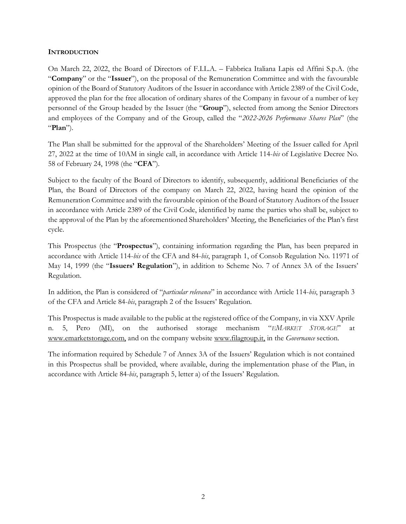#### **INTRODUCTION**

On March 22, 2022, the Board of Directors of F.I.L.A. – Fabbrica Italiana Lapis ed Affini S.p.A. (the "**Company**" or the "**Issuer**"), on the proposal of the Remuneration Committee and with the favourable opinion of the Board of Statutory Auditors of the Issuer in accordance with Article 2389 of the Civil Code, approved the plan for the free allocation of ordinary shares of the Company in favour of a number of key personnel of the Group headed by the Issuer (the "**Group**"), selected from among the Senior Directors and employees of the Company and of the Group, called the "*2022-2026 Performance Shares Plan*" (the "**Plan**").

The Plan shall be submitted for the approval of the Shareholders' Meeting of the Issuer called for April 27, 2022 at the time of 10AM in single call, in accordance with Article 114-*bis* of Legislative Decree No. 58 of February 24, 1998 (the "**CFA**").

Subject to the faculty of the Board of Directors to identify, subsequently, additional Beneficiaries of the Plan, the Board of Directors of the company on March 22, 2022, having heard the opinion of the Remuneration Committee and with the favourable opinion of the Board of Statutory Auditors of the Issuer in accordance with Article 2389 of the Civil Code, identified by name the parties who shall be, subject to the approval of the Plan by the aforementioned Shareholders' Meeting, the Beneficiaries of the Plan's first cycle.

This Prospectus (the "**Prospectus**"), containing information regarding the Plan, has been prepared in accordance with Article 114-*bis* of the CFA and 84-*bis*, paragraph 1, of Consob Regulation No. 11971 of May 14, 1999 (the "**Issuers' Regulation**"), in addition to Scheme No. 7 of Annex 3A of the Issuers' Regulation.

In addition, the Plan is considered of "*particular relevance*" in accordance with Article 114-*bis*, paragraph 3 of the CFA and Article 84-*bis*, paragraph 2 of the Issuers' Regulation.

This Prospectus is made available to the public at the registered office of the Company, in via XXV Aprile n. 5, Pero (MI), on the authorised storage mechanism "*EMARKET STORAGE*" at www.emarketstorage.com, and on the company website www.filagroup.it, in the *Governance* section.

The information required by Schedule 7 of Annex 3A of the Issuers' Regulation which is not contained in this Prospectus shall be provided, where available, during the implementation phase of the Plan, in accordance with Article 84-*bis*, paragraph 5, letter a) of the Issuers' Regulation.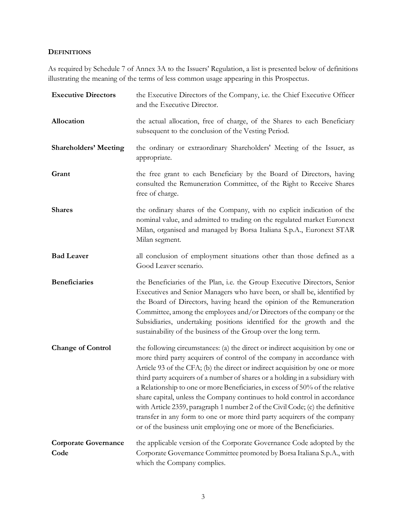### **DEFINITIONS**

As required by Schedule 7 of Annex 3A to the Issuers' Regulation, a list is presented below of definitions illustrating the meaning of the terms of less common usage appearing in this Prospectus.

| <b>Executive Directors</b>          | the Executive Directors of the Company, i.e. the Chief Executive Officer<br>and the Executive Director.                                                                                                                                                                                                                                                                                                                                                                                                                                                                                                                                                                                                                     |  |  |  |
|-------------------------------------|-----------------------------------------------------------------------------------------------------------------------------------------------------------------------------------------------------------------------------------------------------------------------------------------------------------------------------------------------------------------------------------------------------------------------------------------------------------------------------------------------------------------------------------------------------------------------------------------------------------------------------------------------------------------------------------------------------------------------------|--|--|--|
| Allocation                          | the actual allocation, free of charge, of the Shares to each Beneficiary<br>subsequent to the conclusion of the Vesting Period.                                                                                                                                                                                                                                                                                                                                                                                                                                                                                                                                                                                             |  |  |  |
| <b>Shareholders' Meeting</b>        | the ordinary or extraordinary Shareholders' Meeting of the Issuer, as<br>appropriate.                                                                                                                                                                                                                                                                                                                                                                                                                                                                                                                                                                                                                                       |  |  |  |
| Grant                               | the free grant to each Beneficiary by the Board of Directors, having<br>consulted the Remuneration Committee, of the Right to Receive Shares<br>free of charge.                                                                                                                                                                                                                                                                                                                                                                                                                                                                                                                                                             |  |  |  |
| <b>Shares</b>                       | the ordinary shares of the Company, with no explicit indication of the<br>nominal value, and admitted to trading on the regulated market Euronext<br>Milan, organised and managed by Borsa Italiana S.p.A., Euronext STAR<br>Milan segment.                                                                                                                                                                                                                                                                                                                                                                                                                                                                                 |  |  |  |
| <b>Bad Leaver</b>                   | all conclusion of employment situations other than those defined as a<br>Good Leaver scenario.                                                                                                                                                                                                                                                                                                                                                                                                                                                                                                                                                                                                                              |  |  |  |
| <b>Beneficiaries</b>                | the Beneficiaries of the Plan, i.e. the Group Executive Directors, Senior<br>Executives and Senior Managers who have been, or shall be, identified by<br>the Board of Directors, having heard the opinion of the Remuneration<br>Committee, among the employees and/or Directors of the company or the<br>Subsidiaries, undertaking positions identified for the growth and the<br>sustainability of the business of the Group over the long term.                                                                                                                                                                                                                                                                          |  |  |  |
| <b>Change of Control</b>            | the following circumstances: (a) the direct or indirect acquisition by one or<br>more third party acquirers of control of the company in accordance with<br>Article 93 of the CFA; (b) the direct or indirect acquisition by one or more<br>third party acquirers of a number of shares or a holding in a subsidiary with<br>a Relationship to one or more Beneficiaries, in excess of 50% of the relative<br>share capital, unless the Company continues to hold control in accordance<br>with Article 2359, paragraph 1 number 2 of the Civil Code; (c) the definitive<br>transfer in any form to one or more third party acquirers of the company<br>or of the business unit employing one or more of the Beneficiaries. |  |  |  |
| <b>Corporate Governance</b><br>Code | the applicable version of the Corporate Governance Code adopted by the<br>Corporate Governance Committee promoted by Borsa Italiana S.p.A., with<br>which the Company complies.                                                                                                                                                                                                                                                                                                                                                                                                                                                                                                                                             |  |  |  |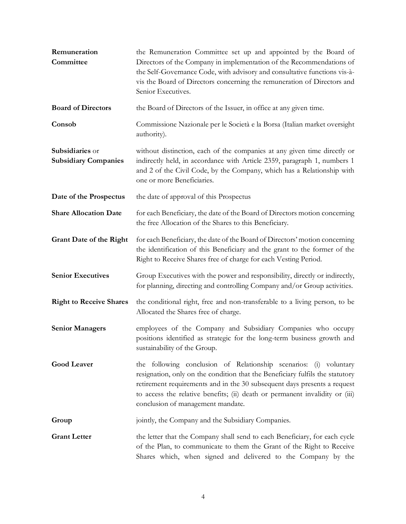| Remuneration<br>Committee                      | the Remuneration Committee set up and appointed by the Board of<br>Directors of the Company in implementation of the Recommendations of<br>the Self-Governance Code, with advisory and consultative functions vis-à-<br>vis the Board of Directors concerning the remuneration of Directors and<br>Senior Executives.                               |
|------------------------------------------------|-----------------------------------------------------------------------------------------------------------------------------------------------------------------------------------------------------------------------------------------------------------------------------------------------------------------------------------------------------|
| <b>Board of Directors</b>                      | the Board of Directors of the Issuer, in office at any given time.                                                                                                                                                                                                                                                                                  |
| Consob                                         | Commissione Nazionale per le Società e la Borsa (Italian market oversight<br>authority).                                                                                                                                                                                                                                                            |
| Subsidiaries or<br><b>Subsidiary Companies</b> | without distinction, each of the companies at any given time directly or<br>indirectly held, in accordance with Article 2359, paragraph 1, numbers 1<br>and 2 of the Civil Code, by the Company, which has a Relationship with<br>one or more Beneficiaries.                                                                                        |
| Date of the Prospectus                         | the date of approval of this Prospectus                                                                                                                                                                                                                                                                                                             |
| <b>Share Allocation Date</b>                   | for each Beneficiary, the date of the Board of Directors motion concerning<br>the free Allocation of the Shares to this Beneficiary.                                                                                                                                                                                                                |
| <b>Grant Date of the Right</b>                 | for each Beneficiary, the date of the Board of Directors' motion concerning<br>the identification of this Beneficiary and the grant to the former of the<br>Right to Receive Shares free of charge for each Vesting Period.                                                                                                                         |
| <b>Senior Executives</b>                       | Group Executives with the power and responsibility, directly or indirectly,<br>for planning, directing and controlling Company and/or Group activities.                                                                                                                                                                                             |
| <b>Right to Receive Shares</b>                 | the conditional right, free and non-transferable to a living person, to be<br>Allocated the Shares free of charge.                                                                                                                                                                                                                                  |
| <b>Senior Managers</b>                         | employees of the Company and Subsidiary Companies who occupy<br>positions identified as strategic for the long-term business growth and<br>sustainability of the Group.                                                                                                                                                                             |
| <b>Good Leaver</b>                             | the following conclusion of Relationship scenarios: (i) voluntary<br>resignation, only on the condition that the Beneficiary fulfils the statutory<br>retirement requirements and in the 30 subsequent days presents a request<br>to access the relative benefits; (ii) death or permanent invalidity or (iii)<br>conclusion of management mandate. |
| Group                                          | jointly, the Company and the Subsidiary Companies.                                                                                                                                                                                                                                                                                                  |
| <b>Grant Letter</b>                            | the letter that the Company shall send to each Beneficiary, for each cycle<br>of the Plan, to communicate to them the Grant of the Right to Receive<br>Shares which, when signed and delivered to the Company by the                                                                                                                                |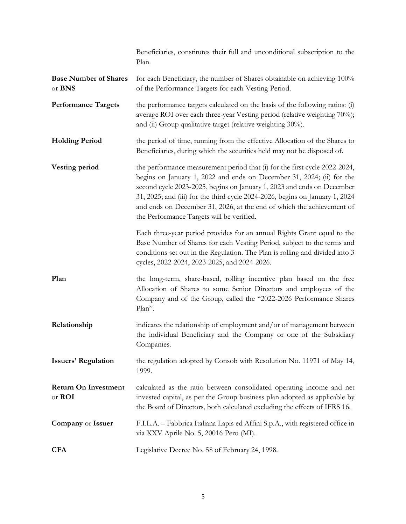|                                        | Beneficiaries, constitutes their full and unconditional subscription to the<br>Plan.                                                                                                                                                                                                                                                                                                                                                |
|----------------------------------------|-------------------------------------------------------------------------------------------------------------------------------------------------------------------------------------------------------------------------------------------------------------------------------------------------------------------------------------------------------------------------------------------------------------------------------------|
| <b>Base Number of Shares</b><br>or BNS | for each Beneficiary, the number of Shares obtainable on achieving 100%<br>of the Performance Targets for each Vesting Period.                                                                                                                                                                                                                                                                                                      |
| <b>Performance Targets</b>             | the performance targets calculated on the basis of the following ratios: (i)<br>average ROI over each three-year Vesting period (relative weighting 70%);<br>and (ii) Group qualitative target (relative weighting 30%).                                                                                                                                                                                                            |
| <b>Holding Period</b>                  | the period of time, running from the effective Allocation of the Shares to<br>Beneficiaries, during which the securities held may not be disposed of.                                                                                                                                                                                                                                                                               |
| <b>Vesting period</b>                  | the performance measurement period that (i) for the first cycle 2022-2024,<br>begins on January 1, 2022 and ends on December 31, 2024; (ii) for the<br>second cycle 2023-2025, begins on January 1, 2023 and ends on December<br>31, 2025; and (iii) for the third cycle 2024-2026, begins on January 1, 2024<br>and ends on December 31, 2026, at the end of which the achievement of<br>the Performance Targets will be verified. |
|                                        | Each three-year period provides for an annual Rights Grant equal to the<br>Base Number of Shares for each Vesting Period, subject to the terms and<br>conditions set out in the Regulation. The Plan is rolling and divided into 3<br>cycles, 2022-2024, 2023-2025, and 2024-2026.                                                                                                                                                  |
| Plan                                   | the long-term, share-based, rolling incentive plan based on the free<br>Allocation of Shares to some Senior Directors and employees of the<br>Company and of the Group, called the "2022-2026 Performance Shares<br>Plan".                                                                                                                                                                                                          |
| Relationship                           | indicates the relationship of employment and/or of management between<br>the individual Beneficiary and the Company or one of the Subsidiary<br>Companies.                                                                                                                                                                                                                                                                          |
| <b>Issuers' Regulation</b>             | the regulation adopted by Consob with Resolution No. 11971 of May 14,<br>1999.                                                                                                                                                                                                                                                                                                                                                      |
| <b>Return On Investment</b><br>or ROI  | calculated as the ratio between consolidated operating income and net<br>invested capital, as per the Group business plan adopted as applicable by<br>the Board of Directors, both calculated excluding the effects of IFRS 16.                                                                                                                                                                                                     |
| Company or Issuer                      | F.I.L.A. - Fabbrica Italiana Lapis ed Affini S.p.A., with registered office in<br>via XXV Aprile No. 5, 20016 Pero (MI).                                                                                                                                                                                                                                                                                                            |
| <b>CFA</b>                             | Legislative Decree No. 58 of February 24, 1998.                                                                                                                                                                                                                                                                                                                                                                                     |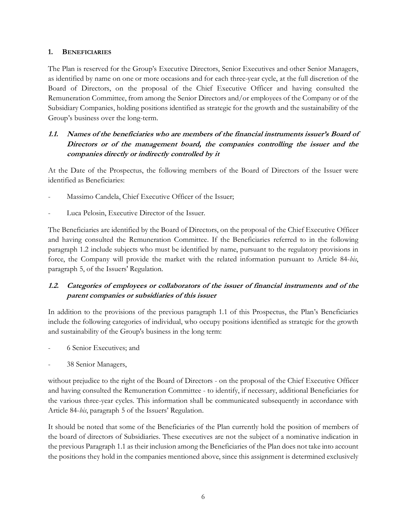#### **1. BENEFICIARIES**

The Plan is reserved for the Group's Executive Directors, Senior Executives and other Senior Managers, as identified by name on one or more occasions and for each three-year cycle, at the full discretion of the Board of Directors, on the proposal of the Chief Executive Officer and having consulted the Remuneration Committee, from among the Senior Directors and/or employees of the Company or of the Subsidiary Companies, holding positions identified as strategic for the growth and the sustainability of the Group's business over the long-term.

# **1.1. Names of the beneficiaries who are members of the financial instruments issuer's Board of Directors or of the management board, the companies controlling the issuer and the companies directly or indirectly controlled by it**

At the Date of the Prospectus, the following members of the Board of Directors of the Issuer were identified as Beneficiaries:

- Massimo Candela, Chief Executive Officer of the Issuer;
- Luca Pelosin, Executive Director of the Issuer.

The Beneficiaries are identified by the Board of Directors, on the proposal of the Chief Executive Officer and having consulted the Remuneration Committee. If the Beneficiaries referred to in the following paragraph 1.2 include subjects who must be identified by name, pursuant to the regulatory provisions in force, the Company will provide the market with the related information pursuant to Article 84-*bis*, paragraph 5, of the Issuers' Regulation.

# **1.2. Categories of employees or collaborators of the issuer of financial instruments and of the parent companies or subsidiaries of this issuer**

In addition to the provisions of the previous paragraph 1.1 of this Prospectus, the Plan's Beneficiaries include the following categories of individual, who occupy positions identified as strategic for the growth and sustainability of the Group's business in the long term:

- 6 Senior Executives; and
- 38 Senior Managers,

without prejudice to the right of the Board of Directors - on the proposal of the Chief Executive Officer and having consulted the Remuneration Committee - to identify, if necessary, additional Beneficiaries for the various three-year cycles. This information shall be communicated subsequently in accordance with Article 84-*bis*, paragraph 5 of the Issuers' Regulation.

It should be noted that some of the Beneficiaries of the Plan currently hold the position of members of the board of directors of Subsidiaries. These executives are not the subject of a nominative indication in the previous Paragraph 1.1 as their inclusion among the Beneficiaries of the Plan does not take into account the positions they hold in the companies mentioned above, since this assignment is determined exclusively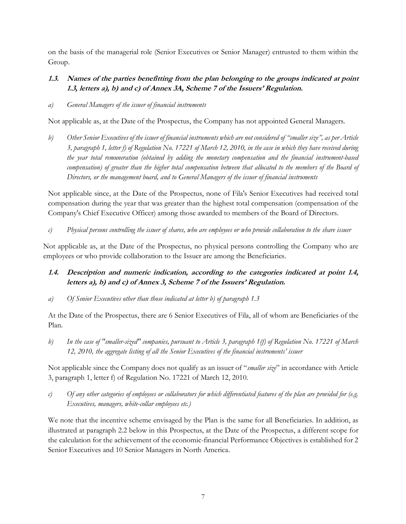on the basis of the managerial role (Senior Executives or Senior Manager) entrusted to them within the Group.

## **1.3. Names of the parties benefitting from the plan belonging to the groups indicated at point 1.3, letters a), b) and c) of Annex 3A, Scheme 7 of the Issuers' Regulation.**

*a) General Managers of the issuer of financial instruments*

Not applicable as, at the Date of the Prospectus, the Company has not appointed General Managers.

*b) Other Senior Executives of the issuer of financial instruments which are not considered of "smaller size", as per Article 3, paragraph 1, letter f) of Regulation No. 17221 of March 12, 2010, in the case in which they have received during the year total remuneration (obtained by adding the monetary compensation and the financial instrument-based*  compensation) of greater than the higher total compensation between that allocated to the members of the Board of *Directors, or the management board, and to General Managers of the issuer of financial instruments*

Not applicable since, at the Date of the Prospectus, none of Fila's Senior Executives had received total compensation during the year that was greater than the highest total compensation (compensation of the Company's Chief Executive Officer) among those awarded to members of the Board of Directors.

*c) Physical persons controlling the issuer of shares, who are employees or who provide collaboration to the share issuer*

Not applicable as, at the Date of the Prospectus, no physical persons controlling the Company who are employees or who provide collaboration to the Issuer are among the Beneficiaries.

- **1.4. Description and numeric indication, according to the categories indicated at point 1.4, letters a), b) and c) of Annex 3, Scheme 7 of the Issuers' Regulation.**
- *a) Of Senior Executives other than those indicated at letter b) of paragraph 1.3*

At the Date of the Prospectus, there are 6 Senior Executives of Fila, all of whom are Beneficiaries of the Plan.

*b) In the case of "smaller-sized" companies, pursuant to Article 3, paragraph 1(f) of Regulation No. 17221 of March 12, 2010, the aggregate listing of all the Senior Executives of the financial instruments' issuer*

Not applicable since the Company does not qualify as an issuer of "*smaller size*" in accordance with Article 3, paragraph 1, letter f) of Regulation No. 17221 of March 12, 2010.

*c) Of any other categories of employees or collaborators for which differentiated features of the plan are provided for (e.g. Executives, managers, white-collar employees etc.)* 

We note that the incentive scheme envisaged by the Plan is the same for all Beneficiaries. In addition, as illustrated at paragraph 2.2 below in this Prospectus, at the Date of the Prospectus, a different scope for the calculation for the achievement of the economic-financial Performance Objectives is established for 2 Senior Executives and 10 Senior Managers in North America.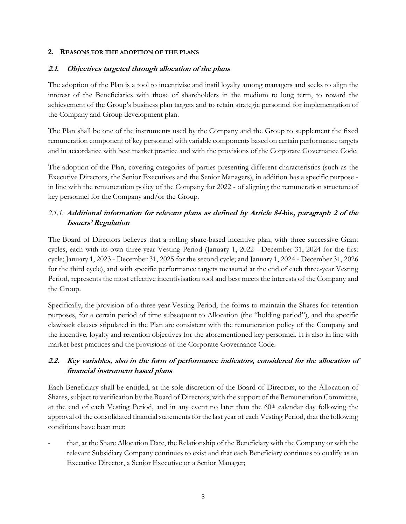#### **2. REASONS FOR THE ADOPTION OF THE PLANS**

## **2.1. Objectives targeted through allocation of the plans**

The adoption of the Plan is a tool to incentivise and instil loyalty among managers and seeks to align the interest of the Beneficiaries with those of shareholders in the medium to long term, to reward the achievement of the Group's business plan targets and to retain strategic personnel for implementation of the Company and Group development plan.

The Plan shall be one of the instruments used by the Company and the Group to supplement the fixed remuneration component of key personnel with variable components based on certain performance targets and in accordance with best market practice and with the provisions of the Corporate Governance Code.

The adoption of the Plan, covering categories of parties presenting different characteristics (such as the Executive Directors, the Senior Executives and the Senior Managers), in addition has a specific purpose in line with the remuneration policy of the Company for 2022 - of aligning the remuneration structure of key personnel for the Company and/or the Group.

# *2.1.1.* **Additional information for relevant plans as defined by Article 84-bis, paragraph 2 of the Issuers' Regulation**

The Board of Directors believes that a rolling share-based incentive plan, with three successive Grant cycles, each with its own three-year Vesting Period (January 1, 2022 - December 31, 2024 for the first cycle; January 1, 2023 - December 31, 2025 for the second cycle; and January 1, 2024 - December 31, 2026 for the third cycle), and with specific performance targets measured at the end of each three-year Vesting Period, represents the most effective incentivisation tool and best meets the interests of the Company and the Group.

Specifically, the provision of a three-year Vesting Period, the forms to maintain the Shares for retention purposes, for a certain period of time subsequent to Allocation (the "holding period"), and the specific clawback clauses stipulated in the Plan are consistent with the remuneration policy of the Company and the incentive, loyalty and retention objectives for the aforementioned key personnel. It is also in line with market best practices and the provisions of the Corporate Governance Code.

# **2.2. Key variables, also in the form of performance indicators, considered for the allocation of financial instrument based plans**

Each Beneficiary shall be entitled, at the sole discretion of the Board of Directors, to the Allocation of Shares, subject to verification by the Board of Directors, with the support of the Remuneration Committee, at the end of each Vesting Period, and in any event no later than the 60<sup>th</sup> calendar day following the approval of the consolidated financial statements for the last year of each Vesting Period, that the following conditions have been met:

- that, at the Share Allocation Date, the Relationship of the Beneficiary with the Company or with the relevant Subsidiary Company continues to exist and that each Beneficiary continues to qualify as an Executive Director, a Senior Executive or a Senior Manager;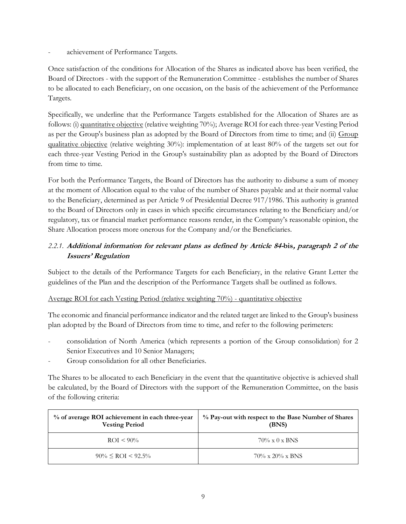achievement of Performance Targets.

Once satisfaction of the conditions for Allocation of the Shares as indicated above has been verified, the Board of Directors - with the support of the Remuneration Committee - establishes the number of Shares to be allocated to each Beneficiary, on one occasion, on the basis of the achievement of the Performance Targets.

Specifically, we underline that the Performance Targets established for the Allocation of Shares are as follows: (i) quantitative objective (relative weighting 70%); Average ROI for each three-year Vesting Period as per the Group's business plan as adopted by the Board of Directors from time to time; and (ii) Group qualitative objective (relative weighting 30%): implementation of at least 80% of the targets set out for each three-year Vesting Period in the Group's sustainability plan as adopted by the Board of Directors from time to time.

For both the Performance Targets, the Board of Directors has the authority to disburse a sum of money at the moment of Allocation equal to the value of the number of Shares payable and at their normal value to the Beneficiary, determined as per Article 9 of Presidential Decree 917/1986. This authority is granted to the Board of Directors only in cases in which specific circumstances relating to the Beneficiary and/or regulatory, tax or financial market performance reasons render, in the Company's reasonable opinion, the Share Allocation process more onerous for the Company and/or the Beneficiaries.

# *2.2.1.* **Additional information for relevant plans as defined by Article 84-bis, paragraph 2 of the Issuers' Regulation**

Subject to the details of the Performance Targets for each Beneficiary, in the relative Grant Letter the guidelines of the Plan and the description of the Performance Targets shall be outlined as follows.

## Average ROI for each Vesting Period (relative weighting 70%) - quantitative objective

The economic and financial performance indicator and the related target are linked to the Group's business plan adopted by the Board of Directors from time to time, and refer to the following perimeters:

- consolidation of North America (which represents a portion of the Group consolidation) for 2 Senior Executives and 10 Senior Managers;
- Group consolidation for all other Beneficiaries.

The Shares to be allocated to each Beneficiary in the event that the quantitative objective is achieved shall be calculated, by the Board of Directors with the support of the Remuneration Committee, on the basis of the following criteria:

| % of average ROI achievement in each three-year<br><b>Vesting Period</b> | % Pay-out with respect to the Base Number of Shares<br>(BNS) |  |  |  |
|--------------------------------------------------------------------------|--------------------------------------------------------------|--|--|--|
| $ROI < 90\%$                                                             | $70\% \times 0 \times BNS$                                   |  |  |  |
| $90\% \leq RCI \leq 92.5\%$                                              | $70\% \times 20\% \times BNS$                                |  |  |  |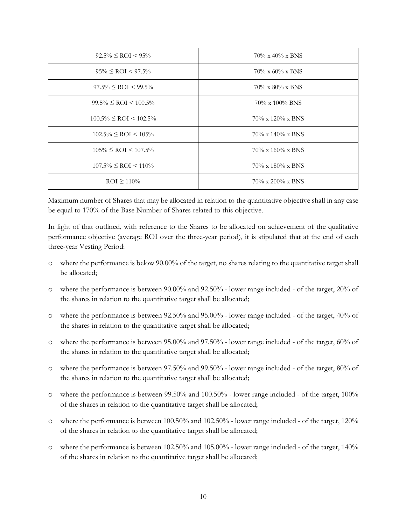| $92.5\% \leq ROI < 95\%$       | $70\% \times 40\% \times BNS$  |
|--------------------------------|--------------------------------|
| $95\% \leq ROI < 97.5\%$       | $70\% \times 60\% \times BNS$  |
| $97.5\% \leq ROI < 99.5\%$     | $70\% \times 80\% \times BNS$  |
| $99.5\% \leq ROI \leq 100.5\%$ | $70\% \times 100\%$ BNS        |
| $100.5\% \leq ROI < 102.5\%$   | $70\% \times 120\% \times BNS$ |
| $102.5\% \leq ROI < 105\%$     | $70\% \times 140\% \times BNS$ |
| $105\% \leq ROI \leq 107.5\%$  | $70\% \times 160\% \times BNS$ |
| $107.5\% \leq ROI < 110\%$     | $70\% \times 180\% \times BNS$ |
| $ROI \ge 110\%$                | $70\% \times 200\% \times BNS$ |

Maximum number of Shares that may be allocated in relation to the quantitative objective shall in any case be equal to 170% of the Base Number of Shares related to this objective.

In light of that outlined, with reference to the Shares to be allocated on achievement of the qualitative performance objective (average ROI over the three-year period), it is stipulated that at the end of each three-year Vesting Period:

- o where the performance is below 90.00% of the target, no shares relating to the quantitative target shall be allocated;
- o where the performance is between 90.00% and 92.50% lower range included of the target, 20% of the shares in relation to the quantitative target shall be allocated;
- o where the performance is between 92.50% and 95.00% lower range included of the target, 40% of the shares in relation to the quantitative target shall be allocated;
- o where the performance is between 95.00% and 97.50% lower range included of the target, 60% of the shares in relation to the quantitative target shall be allocated;
- o where the performance is between 97.50% and 99.50% lower range included of the target, 80% of the shares in relation to the quantitative target shall be allocated;
- o where the performance is between 99.50% and 100.50% lower range included of the target, 100% of the shares in relation to the quantitative target shall be allocated;
- o where the performance is between 100.50% and 102.50% lower range included of the target, 120% of the shares in relation to the quantitative target shall be allocated;
- o where the performance is between 102.50% and 105.00% lower range included of the target, 140% of the shares in relation to the quantitative target shall be allocated;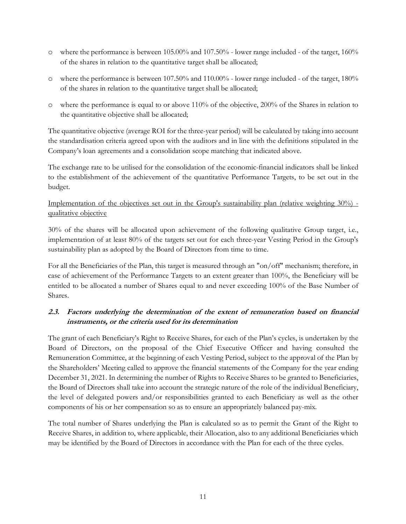- o where the performance is between 105.00% and 107.50% lower range included of the target, 160% of the shares in relation to the quantitative target shall be allocated;
- o where the performance is between 107.50% and 110.00% lower range included of the target, 180% of the shares in relation to the quantitative target shall be allocated;
- o where the performance is equal to or above 110% of the objective, 200% of the Shares in relation to the quantitative objective shall be allocated;

The quantitative objective (average ROI for the three-year period) will be calculated by taking into account the standardisation criteria agreed upon with the auditors and in line with the definitions stipulated in the Company's loan agreements and a consolidation scope matching that indicated above.

The exchange rate to be utilised for the consolidation of the economic-financial indicators shall be linked to the establishment of the achievement of the quantitative Performance Targets, to be set out in the budget.

## Implementation of the objectives set out in the Group's sustainability plan (relative weighting 30%) qualitative objective

30% of the shares will be allocated upon achievement of the following qualitative Group target, i.e., implementation of at least 80% of the targets set out for each three-year Vesting Period in the Group's sustainability plan as adopted by the Board of Directors from time to time.

For all the Beneficiaries of the Plan, this target is measured through an "on/off" mechanism; therefore, in case of achievement of the Performance Targets to an extent greater than 100%, the Beneficiary will be entitled to be allocated a number of Shares equal to and never exceeding 100% of the Base Number of Shares.

# **2.3. Factors underlying the determination of the extent of remuneration based on financial instruments, or the criteria used for its determination**

The grant of each Beneficiary's Right to Receive Shares, for each of the Plan's cycles, is undertaken by the Board of Directors, on the proposal of the Chief Executive Officer and having consulted the Remuneration Committee, at the beginning of each Vesting Period, subject to the approval of the Plan by the Shareholders' Meeting called to approve the financial statements of the Company for the year ending December 31, 2021. In determining the number of Rights to Receive Shares to be granted to Beneficiaries, the Board of Directors shall take into account the strategic nature of the role of the individual Beneficiary, the level of delegated powers and/or responsibilities granted to each Beneficiary as well as the other components of his or her compensation so as to ensure an appropriately balanced pay-mix.

The total number of Shares underlying the Plan is calculated so as to permit the Grant of the Right to Receive Shares, in addition to, where applicable, their Allocation, also to any additional Beneficiaries which may be identified by the Board of Directors in accordance with the Plan for each of the three cycles.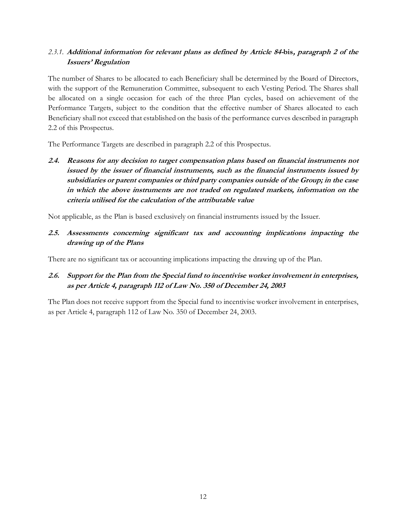# *2.3.1.* **Additional information for relevant plans as defined by Article 84-bis, paragraph 2 of the Issuers' Regulation**

The number of Shares to be allocated to each Beneficiary shall be determined by the Board of Directors, with the support of the Remuneration Committee, subsequent to each Vesting Period. The Shares shall be allocated on a single occasion for each of the three Plan cycles, based on achievement of the Performance Targets, subject to the condition that the effective number of Shares allocated to each Beneficiary shall not exceed that established on the basis of the performance curves described in paragraph 2.2 of this Prospectus.

The Performance Targets are described in paragraph 2.2 of this Prospectus.

**2.4. Reasons for any decision to target compensation plans based on financial instruments not issued by the issuer of financial instruments, such as the financial instruments issued by subsidiaries or parent companies or third party companies outside of the Group; in the case in which the above instruments are not traded on regulated markets, information on the criteria utilised for the calculation of the attributable value**

Not applicable, as the Plan is based exclusively on financial instruments issued by the Issuer.

**2.5. Assessments concerning significant tax and accounting implications impacting the drawing up of the Plans**

There are no significant tax or accounting implications impacting the drawing up of the Plan.

## **2.6. Support for the Plan from the Special fund to incentivise worker involvement in enterprises, as per Article 4, paragraph 112 of Law No. 350 of December 24, 2003**

The Plan does not receive support from the Special fund to incentivise worker involvement in enterprises, as per Article 4, paragraph 112 of Law No. 350 of December 24, 2003.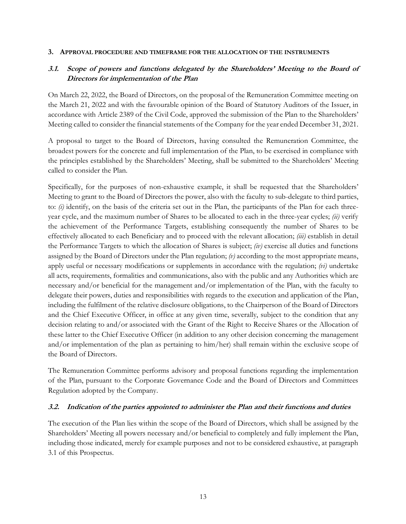#### **3. APPROVAL PROCEDURE AND TIMEFRAME FOR THE ALLOCATION OF THE INSTRUMENTS**

## **3.1. Scope of powers and functions delegated by the Shareholders' Meeting to the Board of Directors for implementation of the Plan**

On March 22, 2022, the Board of Directors, on the proposal of the Remuneration Committee meeting on the March 21, 2022 and with the favourable opinion of the Board of Statutory Auditors of the Issuer, in accordance with Article 2389 of the Civil Code, approved the submission of the Plan to the Shareholders' Meeting called to consider the financial statements of the Company for the year ended December 31, 2021.

A proposal to target to the Board of Directors, having consulted the Remuneration Committee, the broadest powers for the concrete and full implementation of the Plan, to be exercised in compliance with the principles established by the Shareholders' Meeting, shall be submitted to the Shareholders' Meeting called to consider the Plan.

Specifically, for the purposes of non-exhaustive example, it shall be requested that the Shareholders' Meeting to grant to the Board of Directors the power, also with the faculty to sub-delegate to third parties, to:  $(i)$  identify, on the basis of the criteria set out in the Plan, the participants of the Plan for each threeyear cycle, and the maximum number of Shares to be allocated to each in the three-year cycles; *(ii)* verify the achievement of the Performance Targets, establishing consequently the number of Shares to be effectively allocated to each Beneficiary and to proceed with the relevant allocation; *(iii)* establish in detail the Performance Targets to which the allocation of Shares is subject; *(iv)* exercise all duties and functions assigned by the Board of Directors under the Plan regulation; *(v)* according to the most appropriate means, apply useful or necessary modifications or supplements in accordance with the regulation; *(vi)* undertake all acts, requirements, formalities and communications, also with the public and any Authorities which are necessary and/or beneficial for the management and/or implementation of the Plan, with the faculty to delegate their powers, duties and responsibilities with regards to the execution and application of the Plan, including the fulfilment of the relative disclosure obligations, to the Chairperson of the Board of Directors and the Chief Executive Officer, in office at any given time, severally, subject to the condition that any decision relating to and/or associated with the Grant of the Right to Receive Shares or the Allocation of these latter to the Chief Executive Officer (in addition to any other decision concerning the management and/or implementation of the plan as pertaining to him/her) shall remain within the exclusive scope of the Board of Directors.

The Remuneration Committee performs advisory and proposal functions regarding the implementation of the Plan, pursuant to the Corporate Governance Code and the Board of Directors and Committees Regulation adopted by the Company.

#### **3.2. Indication of the parties appointed to administer the Plan and their functions and duties**

The execution of the Plan lies within the scope of the Board of Directors, which shall be assigned by the Shareholders' Meeting all powers necessary and/or beneficial to completely and fully implement the Plan, including those indicated, merely for example purposes and not to be considered exhaustive, at paragraph 3.1 of this Prospectus.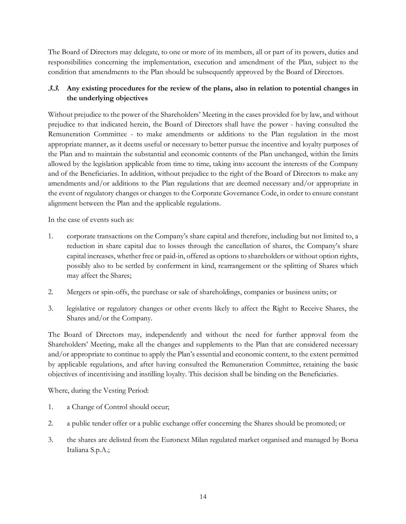The Board of Directors may delegate, to one or more of its members, all or part of its powers, duties and responsibilities concerning the implementation, execution and amendment of the Plan, subject to the condition that amendments to the Plan should be subsequently approved by the Board of Directors.

# **3.3. Any existing procedures for the review of the plans, also in relation to potential changes in the underlying objectives**

Without prejudice to the power of the Shareholders' Meeting in the cases provided for by law, and without prejudice to that indicated herein, the Board of Directors shall have the power - having consulted the Remuneration Committee - to make amendments or additions to the Plan regulation in the most appropriate manner, as it deems useful or necessary to better pursue the incentive and loyalty purposes of the Plan and to maintain the substantial and economic contents of the Plan unchanged, within the limits allowed by the legislation applicable from time to time, taking into account the interests of the Company and of the Beneficiaries. In addition, without prejudice to the right of the Board of Directors to make any amendments and/or additions to the Plan regulations that are deemed necessary and/or appropriate in the event of regulatory changes or changes to the Corporate Governance Code, in order to ensure constant alignment between the Plan and the applicable regulations.

In the case of events such as:

- 1. corporate transactions on the Company's share capital and therefore, including but not limited to, a reduction in share capital due to losses through the cancellation of shares, the Company's share capital increases, whether free or paid-in, offered as options to shareholders or without option rights, possibly also to be settled by conferment in kind, rearrangement or the splitting of Shares which may affect the Shares;
- 2. Mergers or spin-offs, the purchase or sale of shareholdings, companies or business units; or
- 3. legislative or regulatory changes or other events likely to affect the Right to Receive Shares, the Shares and/or the Company.

The Board of Directors may, independently and without the need for further approval from the Shareholders' Meeting, make all the changes and supplements to the Plan that are considered necessary and/or appropriate to continue to apply the Plan's essential and economic content, to the extent permitted by applicable regulations, and after having consulted the Remuneration Committee, retaining the basic objectives of incentivising and instilling loyalty. This decision shall be binding on the Beneficiaries.

Where, during the Vesting Period:

- 1. a Change of Control should occur;
- 2. a public tender offer or a public exchange offer concerning the Shares should be promoted; or
- 3. the shares are delisted from the Euronext Milan regulated market organised and managed by Borsa Italiana S.p.A.;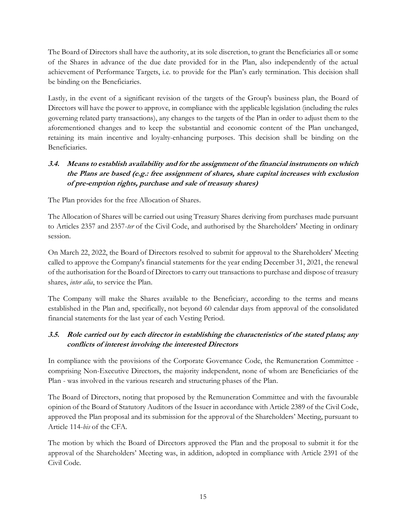The Board of Directors shall have the authority, at its sole discretion, to grant the Beneficiaries all or some of the Shares in advance of the due date provided for in the Plan, also independently of the actual achievement of Performance Targets, i.e. to provide for the Plan's early termination. This decision shall be binding on the Beneficiaries.

Lastly, in the event of a significant revision of the targets of the Group's business plan, the Board of Directors will have the power to approve, in compliance with the applicable legislation (including the rules governing related party transactions), any changes to the targets of the Plan in order to adjust them to the aforementioned changes and to keep the substantial and economic content of the Plan unchanged, retaining its main incentive and loyalty-enhancing purposes. This decision shall be binding on the Beneficiaries.

# **3.4. Means to establish availability and for the assignment of the financial instruments on which the Plans are based (e.g.: free assignment of shares, share capital increases with exclusion of pre-emption rights, purchase and sale of treasury shares)**

The Plan provides for the free Allocation of Shares.

The Allocation of Shares will be carried out using Treasury Shares deriving from purchases made pursuant to Articles 2357 and 2357-*ter* of the Civil Code, and authorised by the Shareholders' Meeting in ordinary session.

On March 22, 2022, the Board of Directors resolved to submit for approval to the Shareholders' Meeting called to approve the Company's financial statements for the year ending December 31, 2021, the renewal of the authorisation for the Board of Directors to carry out transactions to purchase and dispose of treasury shares, *inter alia*, to service the Plan.

The Company will make the Shares available to the Beneficiary, according to the terms and means established in the Plan and, specifically, not beyond 60 calendar days from approval of the consolidated financial statements for the last year of each Vesting Period.

# **3.5. Role carried out by each director in establishing the characteristics of the stated plans; any conflicts of interest involving the interested Directors**

In compliance with the provisions of the Corporate Governance Code, the Remuneration Committee comprising Non-Executive Directors, the majority independent, none of whom are Beneficiaries of the Plan - was involved in the various research and structuring phases of the Plan.

The Board of Directors, noting that proposed by the Remuneration Committee and with the favourable opinion of the Board of Statutory Auditors of the Issuer in accordance with Article 2389 of the Civil Code, approved the Plan proposal and its submission for the approval of the Shareholders' Meeting, pursuant to Article 114-*bis* of the CFA.

The motion by which the Board of Directors approved the Plan and the proposal to submit it for the approval of the Shareholders' Meeting was, in addition, adopted in compliance with Article 2391 of the Civil Code.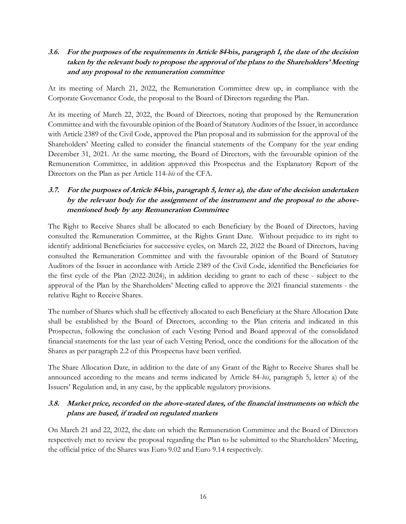## **3.6. For the purposes of the requirements in Article 84-bis, paragraph 1, the date of the decision taken by the relevant body to propose the approval of the plans to the Shareholders' Meeting and any proposal to the remuneration committee**

At its meeting of March 21, 2022, the Remuneration Committee drew up, in compliance with the Corporate Governance Code, the proposal to the Board of Directors regarding the Plan.

At its meeting of March 22, 2022, the Board of Directors, noting that proposed by the Remuneration Committee and with the favourable opinion of the Board of Statutory Auditors of the Issuer, in accordance with Article 2389 of the Civil Code, approved the Plan proposal and its submission for the approval of the Shareholders' Meeting called to consider the financial statements of the Company for the year ending December 31, 2021. At the same meeting, the Board of Directors, with the favourable opinion of the Remuneration Committee, in addition approved this Prospectus and the Explanatory Report of the Directors on the Plan as per Article 114-*bis* of the CFA.

# **3.7. For the purposes of Article 84-bis, paragraph 5, letter a), the date of the decision undertaken by the relevant body for the assignment of the instrument and the proposal to the abovementioned body by any Remuneration Committee**

The Right to Receive Shares shall be allocated to each Beneficiary by the Board of Directors, having consulted the Remuneration Committee, at the Rights Grant Date. Without prejudice to its right to identify additional Beneficiaries for successive cycles, on March 22, 2022 the Board of Directors, having consulted the Remuneration Committee and with the favourable opinion of the Board of Statutory Auditors of the Issuer in accordance with Article 2389 of the Civil Code, identified the Beneficiaries for the first cycle of the Plan (2022-2024), in addition deciding to grant to each of these - subject to the approval of the Plan by the Shareholders' Meeting called to approve the 2021 financial statements - the relative Right to Receive Shares.

The number of Shares which shall be effectively allocated to each Beneficiary at the Share Allocation Date shall be established by the Board of Directors, according to the Plan criteria and indicated in this Prospectus, following the conclusion of each Vesting Period and Board approval of the consolidated financial statements for the last year of each Vesting Period, once the conditions for the allocation of the Shares as per paragraph 2.2 of this Prospectus have been verified.

The Share Allocation Date, in addition to the date of any Grant of the Right to Receive Shares shall be announced according to the means and terms indicated by Article 84-*bis*, paragraph 5, letter a) of the Issuers' Regulation and, in any case, by the applicable regulatory provisions.

## **3.8. Market price, recorded on the above-stated dates, of the financial instruments on which the plans are based, if traded on regulated markets**

On March 21 and 22, 2022, the date on which the Remuneration Committee and the Board of Directors respectively met to review the proposal regarding the Plan to be submitted to the Shareholders' Meeting, the official price of the Shares was Euro 9.02 and Euro 9.14 respectively.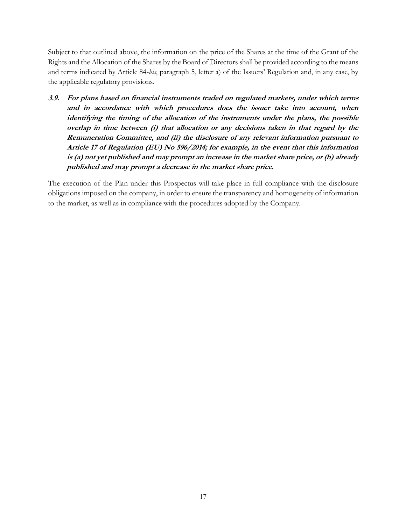Subject to that outlined above, the information on the price of the Shares at the time of the Grant of the Rights and the Allocation of the Shares by the Board of Directors shall be provided according to the means and terms indicated by Article 84-*bis*, paragraph 5, letter a) of the Issuers' Regulation and, in any case, by the applicable regulatory provisions.

**3.9. For plans based on financial instruments traded on regulated markets, under which terms and in accordance with which procedures does the issuer take into account, when identifying the timing of the allocation of the instruments under the plans, the possible overlap in time between (i) that allocation or any decisions taken in that regard by the Remuneration Committee, and (ii) the disclosure of any relevant information pursuant to Article 17 of Regulation (EU) No 596/2014; for example, in the event that this information is (a) not yet published and may prompt an increase in the market share price, or (b) already published and may prompt a decrease in the market share price.**

The execution of the Plan under this Prospectus will take place in full compliance with the disclosure obligations imposed on the company, in order to ensure the transparency and homogeneity of information to the market, as well as in compliance with the procedures adopted by the Company.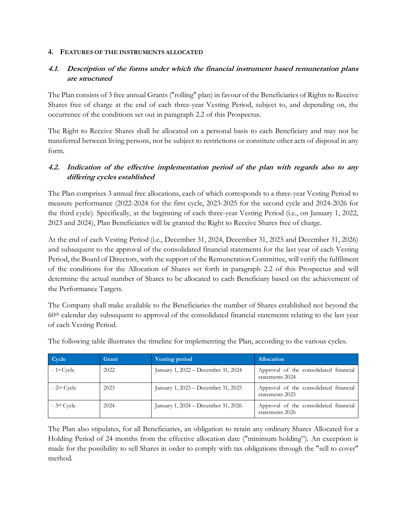#### **4. FEATURES OF THE INSTRUMENTS ALLOCATED**

# **4.1. Description of the forms under which the financial instrument based remuneration plans are structured**

The Plan consists of 3 free annual Grants ("rolling" plan) in favour of the Beneficiaries of Rights to Receive Shares free of charge at the end of each three-year Vesting Period, subject to, and depending on, the occurrence of the conditions set out in paragraph 2.2 of this Prospectus.

The Right to Receive Shares shall be allocated on a personal basis to each Beneficiary and may not be transferred between living persons, nor be subject to restrictions or constitute other acts of disposal in any form.

# **4.2. Indication of the effective implementation period of the plan with regards also to any differing cycles established**

The Plan comprises 3 annual free allocations, each of which corresponds to a three-year Vesting Period to measure performance (2022-2024 for the first cycle, 2023-2025 for the second cycle and 2024-2026 for the third cycle). Specifically, at the beginning of each three-year Vesting Period (i.e., on January 1, 2022, 2023 and 2024), Plan Beneficiaries will be granted the Right to Receive Shares free of charge.

At the end of each Vesting Period (i.e., December 31, 2024, December 31, 2025 and December 31, 2026) and subsequent to the approval of the consolidated financial statements for the last year of each Vesting Period, the Board of Directors, with the support of the Remuneration Committee, will verify the fulfilment of the conditions for the Allocation of Shares set forth in paragraph 2.2 of this Prospectus and will determine the actual number of Shares to be allocated to each Beneficiary based on the achievement of the Performance Targets.

The Company shall make available to the Beneficiaries the number of Shares established not beyond the 60th calendar day subsequent to approval of the consolidated financial statements relating to the last year of each Vesting Period.

| Cycle                    | Grant | <b>Vesting period</b>               | <b>Allocation</b>                                         |
|--------------------------|-------|-------------------------------------|-----------------------------------------------------------|
| $-1$ <sup>st</sup> Cycle | 2022  | January 1, 2022 - December 31, 2024 | Approval of the consolidated financial<br>statements 2024 |
| $-2nd$ Cycle             | 2023  | January 1, 2023 – December 31, 2025 | Approval of the consolidated financial<br>statements 2025 |
| $-3$ <sup>rd</sup> Cycle | 2024  | January 1, 2024 – December 31, 2026 | Approval of the consolidated financial<br>statements 2026 |

The following table illustrates the timeline for implementing the Plan, according to the various cycles.

The Plan also stipulates, for all Beneficiaries, an obligation to retain any ordinary Shares Allocated for a Holding Period of 24 months from the effective allocation date ("minimum holding"). An exception is made for the possibility to sell Shares in order to comply with tax obligations through the "sell to cover" method.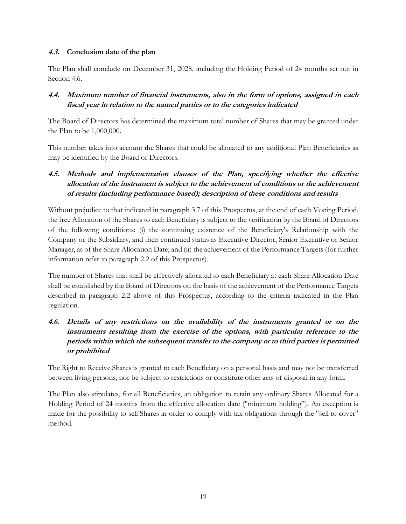## **4.3. Conclusion date of the plan**

The Plan shall conclude on December 31, 2028, including the Holding Period of 24 months set out in Section 4.6.

# **4.4. Maximum number of financial instruments, also in the form of options, assigned in each fiscal year in relation to the named parties or to the categories indicated**

The Board of Directors has determined the maximum total number of Shares that may be granted under the Plan to be 1,000,000.

This number takes into account the Shares that could be allocated to any additional Plan Beneficiaries as may be identified by the Board of Directors.

# **4.5. Methods and implementation clauses of the Plan, specifying whether the effective allocation of the instrument is subject to the achievement of conditions or the achievement of results (including performance based); description of these conditions and results**

Without prejudice to that indicated in paragraph 3.7 of this Prospectus, at the end of each Vesting Period, the free Allocation of the Shares to each Beneficiary is subject to the verification by the Board of Directors of the following conditions: (i) the continuing existence of the Beneficiary's Relationship with the Company or the Subsidiary, and their continued status as Executive Director, Senior Executive or Senior Manager, as of the Share Allocation Date; and (ii) the achievement of the Performance Targets (for further information refer to paragraph 2.2 of this Prospectus).

The number of Shares that shall be effectively allocated to each Beneficiary at each Share Allocation Date shall be established by the Board of Directors on the basis of the achievement of the Performance Targets described in paragraph 2.2 above of this Prospectus, according to the criteria indicated in the Plan regulation.

# **4.6. Details of any restrictions on the availability of the instruments granted or on the instruments resulting from the exercise of the options, with particular reference to the periods within which the subsequent transfer to the company or to third parties is permitted or prohibited**

The Right to Receive Shares is granted to each Beneficiary on a personal basis and may not be transferred between living persons, nor be subject to restrictions or constitute other acts of disposal in any form.

The Plan also stipulates, for all Beneficiaries, an obligation to retain any ordinary Shares Allocated for a Holding Period of 24 months from the effective allocation date ("minimum holding"). An exception is made for the possibility to sell Shares in order to comply with tax obligations through the "sell to cover" method.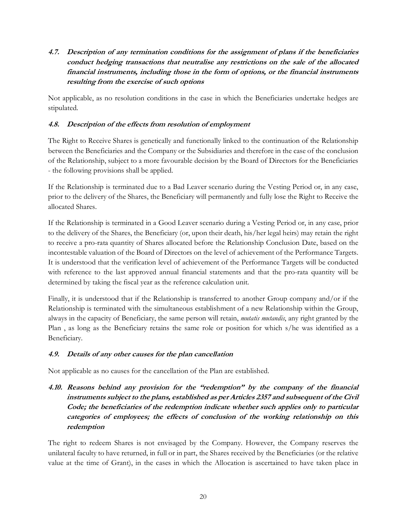**4.7. Description of any termination conditions for the assignment of plans if the beneficiaries conduct hedging transactions that neutralise any restrictions on the sale of the allocated financial instruments, including those in the form of options, or the financial instruments resulting from the exercise of such options**

Not applicable, as no resolution conditions in the case in which the Beneficiaries undertake hedges are stipulated.

## **4.8. Description of the effects from resolution of employment**

The Right to Receive Shares is genetically and functionally linked to the continuation of the Relationship between the Beneficiaries and the Company or the Subsidiaries and therefore in the case of the conclusion of the Relationship, subject to a more favourable decision by the Board of Directors for the Beneficiaries - the following provisions shall be applied.

If the Relationship is terminated due to a Bad Leaver scenario during the Vesting Period or, in any case, prior to the delivery of the Shares, the Beneficiary will permanently and fully lose the Right to Receive the allocated Shares.

If the Relationship is terminated in a Good Leaver scenario during a Vesting Period or, in any case, prior to the delivery of the Shares, the Beneficiary (or, upon their death, his/her legal heirs) may retain the right to receive a pro-rata quantity of Shares allocated before the Relationship Conclusion Date, based on the incontestable valuation of the Board of Directors on the level of achievement of the Performance Targets. It is understood that the verification level of achievement of the Performance Targets will be conducted with reference to the last approved annual financial statements and that the pro-rata quantity will be determined by taking the fiscal year as the reference calculation unit.

Finally, it is understood that if the Relationship is transferred to another Group company and/or if the Relationship is terminated with the simultaneous establishment of a new Relationship within the Group, always in the capacity of Beneficiary, the same person will retain, *mutatis mutandis*, any right granted by the Plan , as long as the Beneficiary retains the same role or position for which s/he was identified as a Beneficiary.

## **4.9. Details of any other causes for the plan cancellation**

Not applicable as no causes for the cancellation of the Plan are established.

# **4.10. Reasons behind any provision for the "redemption" by the company of the financial instruments subject to the plans, established as per Articles 2357 and subsequent of the Civil Code; the beneficiaries of the redemption indicate whether such applies only to particular categories of employees; the effects of conclusion of the working relationship on this redemption**

The right to redeem Shares is not envisaged by the Company. However, the Company reserves the unilateral faculty to have returned, in full or in part, the Shares received by the Beneficiaries (or the relative value at the time of Grant), in the cases in which the Allocation is ascertained to have taken place in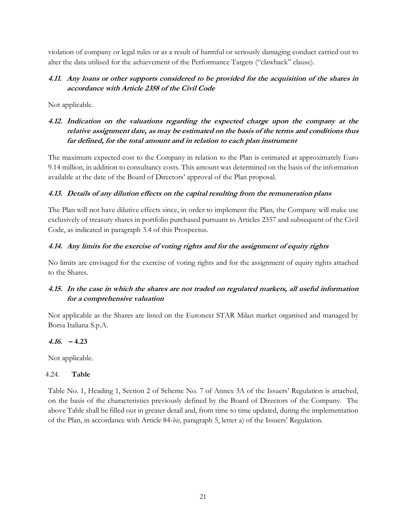violation of company or legal rules or as a result of harmful or seriously damaging conduct carried out to alter the data utilised for the achievement of the Performance Targets ("clawback" clause).

## **4.11. Any loans or other supports considered to be provided for the acquisition of the shares in accordance with Article 2358 of the Civil Code**

Not applicable.

# **4.12. Indication on the valuations regarding the expected charge upon the company at the relative assignment date, as may be estimated on the basis of the terms and conditions thus far defined, for the total amount and in relation to each plan instrument**

The maximum expected cost to the Company in relation to the Plan is estimated at approximately Euro 9.14 million, in addition to consultancy costs. This amount was determined on the basis of the information available at the date of the Board of Directors' approval of the Plan proposal.

## **4.13. Details of any dilution effects on the capital resulting from the remuneration plans**

The Plan will not have dilutive effects since, in order to implement the Plan, the Company will make use exclusively of treasury shares in portfolio purchased pursuant to Articles 2357 and subsequent of the Civil Code, as indicated in paragraph 3.4 of this Prospectus.

## **4.14. Any limits for the exercise of voting rights and for the assignment of equity rights**

No limits are envisaged for the exercise of voting rights and for the assignment of equity rights attached to the Shares.

# **4.15. In the case in which the shares are not traded on regulated markets, all useful information for a comprehensive valuation**

Not applicable as the Shares are listed on the Euronext STAR Milan market organised and managed by Borsa Italiana S.p.A.

## **4.16. – 4.23**

Not applicable.

## 4.24. **Table**

Table No. 1, Heading 1, Section 2 of Scheme No. 7 of Annex 3A of the Issuers' Regulation is attached, on the basis of the characteristics previously defined by the Board of Directors of the Company. The above Table shall be filled out in greater detail and, from time to time updated, during the implementation of the Plan, in accordance with Article 84-*bis*, paragraph 5, letter a) of the Issuers' Regulation.